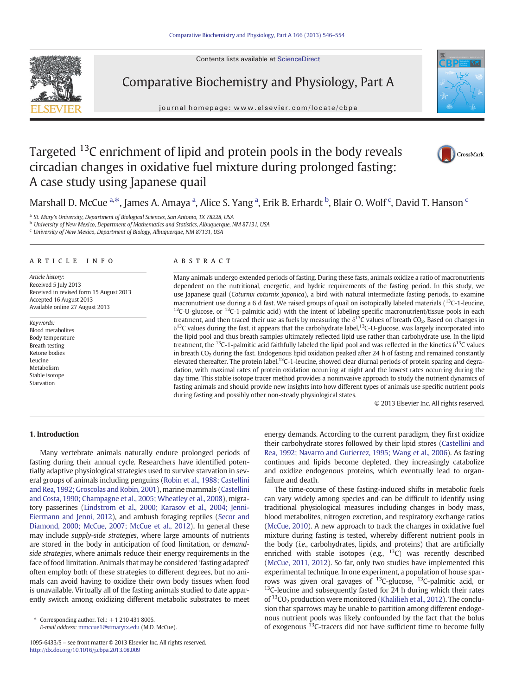Contents lists available at ScienceDirect



Comparative Biochemistry and Physiology, Part A

journal homepage: www.elsevier.com/locate/cbpa



# Targeted <sup>13</sup>C enrichment of lipid and protein pools in the body reveals circadian changes in oxidative fuel mixture during prolonged fasting: A case study using Japanese quail



Marshall D. McCue <sup>a,\*</sup>, James A. Amaya <sup>a</sup>, Alice S. Yang <sup>a</sup>, Erik B. Erhardt <sup>b</sup>, Blair O. Wolf <sup>c</sup>, David T. Hanson <sup>c</sup>

<sup>a</sup> St. Mary's University, Department of Biological Sciences, San Antonio, TX 78228, USA

<sup>b</sup> University of New Mexico, Department of Mathematics and Statistics, Albuquerque, NM 87131, USA

<sup>c</sup> University of New Mexico, Department of Biology, Albuquerque, NM 87131, USA

#### article info abstract

Article history: Received 5 July 2013 Received in revised form 15 August 2013 Accepted 16 August 2013 Available online 27 August 2013

Keywords: Blood metabolites Body temperature Breath testing Ketone bodies Leucine Metabolism Stable isotope Starvation

Many animals undergo extended periods of fasting. During these fasts, animals oxidize a ratio of macronutrients dependent on the nutritional, energetic, and hydric requirements of the fasting period. In this study, we use Japanese quail (Coturnix coturnix japonica), a bird with natural intermediate fasting periods, to examine macronutrient use during a 6 d fast. We raised groups of quail on isotopically labeled materials  $(^{13}C-1$ -leucine,  $13C-U-glucose$ , or  $13C-U-glucose$ , or  $13C-U-glucose$ , or  $13C-U-glucose$ , or  $13C-U-glucose$ , or  $13C-U-glucose$ , or  $13C-U-glucose$ , or  $13C-U-glucose$ , or  $13C-U-glucose$ , or  $13C-U-glucose$ , or  $13C-U-glucose$ , or  $13C-U-glucose$ , or  $13C-U-glucose$ , or  $13C-U-glucose$ , or  $13C-U-glucose$ , treatment, and then traced their use as fuels by measuring the  $\delta^{13}$ C values of breath CO<sub>2</sub>. Based on changes in  $\delta^{13}$ C values during the fast, it appears that the carbohydrate label,<sup>13</sup>C-U-glucose, was largely incorporated into the lipid pool and thus breath samples ultimately reflected lipid use rather than carbohydrate use. In the lipid treatment, the <sup>13</sup>C-1-palmitic acid faithfully labeled the lipid pool and was reflected in the kinetics  $\delta^{13}C$  values in breath  $CO<sub>2</sub>$  during the fast. Endogenous lipid oxidation peaked after 24 h of fasting and remained constantly elevated thereafter. The protein label, $13C-1$ -leucine, showed clear diurnal periods of protein sparing and degradation, with maximal rates of protein oxidation occurring at night and the lowest rates occurring during the day time. This stable isotope tracer method provides a noninvasive approach to study the nutrient dynamics of fasting animals and should provide new insights into how different types of animals use specific nutrient pools during fasting and possibly other non-steady physiological states.

© 2013 Elsevier Inc. All rights reserved.

# 1. Introduction

Many vertebrate animals naturally endure prolonged periods of fasting during their annual cycle. Researchers have identified potentially adaptive physiological strategies used to survive starvation in several groups of animals including penguins ([Robin et al., 1988; Castellini](#page-8-0) [and Rea, 1992; Groscolas and Robin, 2001\)](#page-8-0), marine mammals [\(Castellini](#page-7-0) [and Costa, 1990; Champagne et al., 2005; Wheatley et al., 2008\)](#page-7-0), migratory passerines [\(Lindstrom et al., 2000; Karasov et al., 2004; Jenni-](#page-7-0)[Eiermann and Jenni, 2012](#page-7-0)), and ambush foraging reptiles [\(Secor and](#page-8-0) [Diamond, 2000; McCue, 2007; McCue et al., 2012](#page-8-0)). In general these may include supply-side strategies, where large amounts of nutrients are stored in the body in anticipation of food limitation, or demandside strategies, where animals reduce their energy requirements in the face of food limitation. Animals that may be considered 'fasting adapted' often employ both of these strategies to different degrees, but no animals can avoid having to oxidize their own body tissues when food is unavailable. Virtually all of the fasting animals studied to date apparently switch among oxidizing different metabolic substrates to meet

E-mail address: [mmccue1@stmarytx.edu](mailto:mmccue1@stmarytx.edu) (M.D. McCue).

energy demands. According to the current paradigm, they first oxidize their carbohydrate stores followed by their lipid stores [\(Castellini and](#page-7-0) [Rea, 1992; Navarro and Gutierrez, 1995; Wang et al., 2006\)](#page-7-0). As fasting continues and lipids become depleted, they increasingly catabolize and oxidize endogenous proteins, which eventually lead to organfailure and death.

The time-course of these fasting-induced shifts in metabolic fuels can vary widely among species and can be difficult to identify using traditional physiological measures including changes in body mass, blood metabolites, nitrogen excretion, and respiratory exchange ratios [\(McCue, 2010](#page-8-0)). A new approach to track the changes in oxidative fuel mixture during fasting is tested, whereby different nutrient pools in the body (i.e., carbohydrates, lipids, and proteins) that are artificially enriched with stable isotopes  $(e.g., <sup>13</sup>C)$  was recently described [\(McCue, 2011, 2012\)](#page-8-0). So far, only two studies have implemented this experimental technique. In one experiment, a population of house sparrows was given oral gavages of  $^{13}$ C-glucose,  $^{13}$ C-palmitic acid, or  $13$ C-leucine and subsequently fasted for 24 h during which their rates of  $^{13}CO<sub>2</sub>$  production were monitored ([Khalilieh et al., 2012](#page-7-0)). The conclusion that sparrows may be unable to partition among different endogenous nutrient pools was likely confounded by the fact that the bolus of exogenous <sup>13</sup>C-tracers did not have sufficient time to become fully

 $*$  Corresponding author. Tel.:  $+1$  210 431 8005.

<sup>1095-6433/\$</sup> – see front matter © 2013 Elsevier Inc. All rights reserved. <http://dx.doi.org/10.1016/j.cbpa.2013.08.009>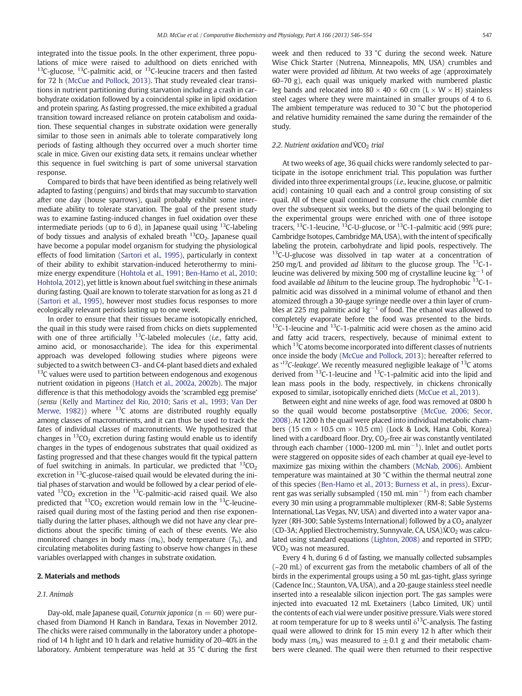<span id="page-1-0"></span>integrated into the tissue pools. In the other experiment, three populations of mice were raised to adulthood on diets enriched with <sup>13</sup>C-glucose, <sup>13</sup>C-palmitic acid, or <sup>13</sup>C-leucine tracers and then fasted for 72 h ([McCue and Pollock, 2013\)](#page-8-0). That study revealed clear transitions in nutrient partitioning during starvation including a crash in carbohydrate oxidation followed by a coincidental spike in lipid oxidation and protein sparing. As fasting progressed, the mice exhibited a gradual transition toward increased reliance on protein catabolism and oxidation. These sequential changes in substrate oxidation were generally similar to those seen in animals able to tolerate comparatively long periods of fasting although they occurred over a much shorter time scale in mice. Given our existing data sets, it remains unclear whether this sequence in fuel switching is part of some universal starvation response.

Compared to birds that have been identified as being relatively well adapted to fasting (penguins) and birds that may succumb to starvation after one day (house sparrows), quail probably exhibit some intermediate ability to tolerate starvation. The goal of the present study was to examine fasting-induced changes in fuel oxidation over these intermediate periods (up to 6 d), in Japanese quail using  $^{13}$ C-labeling of body tissues and analysis of exhaled breath  $^{13}CO<sub>2</sub>$ . Japanese quail have become a popular model organism for studying the physiological effects of food limitation [\(Sartori et al., 1995](#page-8-0)), particularly in context of their ability to exhibit starvation-induced heterothermy to minimize energy expenditure ([Hohtola et al., 1991; Ben-Hamo et al., 2010;](#page-7-0) [Hohtola, 2012\)](#page-7-0), yet little is known about fuel switching in these animals during fasting. Quail are known to tolerate starvation for as long as 21 d [\(Sartori et al., 1995](#page-8-0)), however most studies focus responses to more ecologically relevant periods lasting up to one week.

In order to ensure that their tissues became isotopically enriched, the quail in this study were raised from chicks on diets supplemented with one of three artificially  $^{13}$ C-labeled molecules (*i.e.*, fatty acid, amino acid, or monosaccharide). The idea for this experimental approach was developed following studies where pigeons were subjected to a switch between C3- and C4-plant based diets and exhaled <sup>13</sup>C values were used to partition between endogenous and exogenous nutrient oxidation in pigeons [\(Hatch et al., 2002a, 2002b\)](#page-7-0). The major difference is that this methodology avoids the 'scrambled egg premise' (sensu [\(Kelly and Martinez del Rio, 2010; Saris et al., 1993; Van Der](#page-7-0) [Merwe, 1982](#page-7-0))) where  $13C$  atoms are distributed roughly equally among classes of macronutrients, and it can thus be used to track the fates of individual classes of macronutrients. We hypothesized that changes in  $^{13}CO_2$  excretion during fasting would enable us to identify changes in the types of endogenous substrates that quail oxidized as fasting progressed and that these changes would fit the typical pattern of fuel switching in animals. In particular, we predicted that  ${}^{13}CO<sub>2</sub>$ excretion in  $^{13}$ C-glucose-raised quail would be elevated during the initial phases of starvation and would be followed by a clear period of elevated  $^{13}CO_2$  excretion in the  $^{13}C$ -palmitic-acid raised quail. We also predicted that  ${}^{13}CO_2$  excretion would remain low in the  ${}^{13}C$ -leucineraised quail during most of the fasting period and then rise exponentially during the latter phases, although we did not have any clear predictions about the specific timing of each of these events. We also monitored changes in body mass  $(m_b)$ , body temperature  $(T_b)$ , and circulating metabolites during fasting to observe how changes in these variables overlapped with changes in substrate oxidation.

#### 2. Materials and methods

#### 2.1. Animals

Day-old, male Japanese quail, Coturnix japonica ( $n = 60$ ) were purchased from Diamond H Ranch in Bandara, Texas in November 2012. The chicks were raised communally in the laboratory under a photoperiod of 14 h light and 10 h dark and relative humidity of 20–40% in the laboratory. Ambient temperature was held at 35 °C during the first week and then reduced to 33 °C during the second week. Nature Wise Chick Starter (Nutrena, Minneapolis, MN, USA) crumbles and water were provided ad libitum. At two weeks of age (approximately 60–70 g), each quail was uniquely marked with numbered plastic leg bands and relocated into  $80 \times 40 \times 60$  cm (L  $\times$  W  $\times$  H) stainless steel cages where they were maintained in smaller groups of 4 to 6. The ambient temperature was reduced to 30 °C but the photoperiod and relative humidity remained the same during the remainder of the study.

#### 2.2. Nutrient oxidation and VCO<sub>2</sub> trial

At two weeks of age, 36 quail chicks were randomly selected to participate in the isotope enrichment trial. This population was further divided into three experimental groups (i.e., leucine, glucose, or palmitic acid) containing 10 quail each and a control group consisting of six quail. All of these quail continued to consume the chick crumble diet over the subsequent six weeks, but the diets of the quail belonging to the experimental groups were enriched with one of three isotope tracers, <sup>13</sup>C-1-leucine, <sup>13</sup>C-U-glucose, or <sup>13</sup>C-1-palmitic acid (99% pure; Cambridge Isotopes, Cambridge MA, USA), with the intent of specifically labeling the protein, carbohydrate and lipid pools, respectively. The  $13C$ -U-glucose was dissolved in tap water at a concentration of 250 mg/L and provided *ad libitum* to the glucose group. The  $^{13}$ C-1leucine was delivered by mixing 500 mg of crystalline leucine kg<sup>-1</sup> of food available *ad libitum* to the leucine group. The hydrophobic  $13C-1$ palmitic acid was dissolved in a minimal volume of ethanol and then atomized through a 30-gauge syringe needle over a thin layer of crumbles at 225 mg palmitic acid kg<sup>-1</sup> of food. The ethanol was allowed to completely evaporate before the food was presented to the birds.  $13C-1$ -leucine and  $13C-1$ -palmitic acid were chosen as the amino acid and fatty acid tracers, respectively, because of minimal extent to which <sup>13</sup>C atoms become incorporated into different classes of nutrients once inside the body ([McCue and Pollock, 2013](#page-8-0)); hereafter referred to as  $^{13}$ C-leakage'. We recently measured negligible leakage of  $^{13}$ C atoms derived from 13C-1-leucine and 13C-1-palmitic acid into the lipid and lean mass pools in the body, respectively, in chickens chronically exposed to similar, isotopically enriched diets ([McCue et al., 2013\)](#page-8-0).

Between eight and nine weeks of age, food was removed at 0800 h so the quail would become postabsorptive [\(McCue, 2006; Secor,](#page-8-0) [2008](#page-8-0)). At 1200 h the quail were placed into individual metabolic chambers (15 cm  $\times$  10.5 cm  $\times$  10.5 cm) (Lock & Lock, Hana Cobi, Korea) lined with a cardboard floor. Dry,  $CO<sub>2</sub>$ -free air was constantly ventilated through each chamber (1000–1200 mL min<sup>-1</sup>). Inlet and outlet ports were staggered on opposite sides of each chamber at quail eye-level to maximize gas mixing within the chambers ([McNab, 2006](#page-8-0)). Ambient temperature was maintained at 30 °C within the thermal neutral zone of this species ([Ben-Hamo et al., 2013; Burness et al., in press\)](#page-7-0). Excurrent gas was serially subsampled (150 mL min<sup>-1</sup>) from each chamber every 30 min using a programmable multiplexer (RM-8; Sable Systems International, Las Vegas, NV, USA) and diverted into a water vapor analyzer (RH-300; Sable Systems International) followed by a  $CO<sub>2</sub>$  analyzer (CD-3A; Applied Electrochemistry, Sunnyvale, CA, USA). $\rm{CO}_2$  was calculated using standard equations ([Lighton, 2008\)](#page-7-0) and reported in STPD;  $\text{VCO}_2$  was not measured.

Every 4 h, during 6 d of fasting, we manually collected subsamples (~20 mL) of excurrent gas from the metabolic chambers of all of the birds in the experimental groups using a 50 mL gas-tight, glass syringe (Cadence Inc.; Staunton, VA, USA), and a 20-gauge stainless steel needle inserted into a resealable silicon injection port. The gas samples were injected into evacuated 12 mL Exetainers (Labco Limited, UK) until the contents of each vial were under positive pressure. Vials were stored at room temperature for up to 8 weeks until  $\delta^{13}$ C-analysis. The fasting quail were allowed to drink for 15 min every 12 h after which their body mass ( $m_b$ ) was measured to  $\pm$  0.1 g and their metabolic chambers were cleaned. The quail were then returned to their respective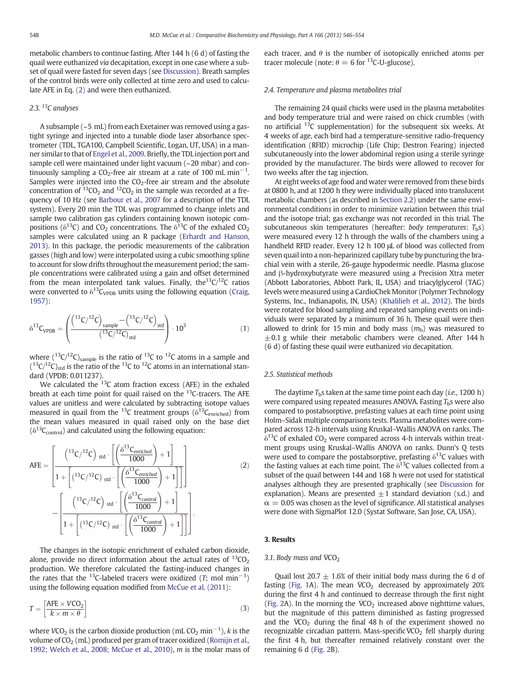metabolic chambers to continue fasting. After 144 h (6 d) of fasting the quail were euthanized via decapitation, except in one case where a subset of quail were fasted for seven days (see [Discussion\)](#page-3-0). Breath samples of the control birds were only collected at time zero and used to calculate AFE in Eq. (2) and were then euthanized.

# 2.3.<sup>13</sup>C analyses

A subsample (~5 mL) from each Exetainer was removed using a gastight syringe and injected into a tunable diode laser absorbance spectrometer (TDL, TGA100, Campbell Scientific, Logan, UT, USA) in a manner similar to that of [Engel et al., 2009.](#page-7-0) Briefly, the TDL injection port and sample cell were maintained under light vacuum (~20 mbar) and continuously sampling a CO<sub>2</sub>-free air stream at a rate of 100 mL min<sup>-1</sup>. Samples were injected into the  $CO<sub>2</sub>$ -free air stream and the absolute concentration of  ${}^{13}CO_2$  and  ${}^{12}CO_2$  in the sample was recorded at a frequency of 10 Hz (see [Barbour et al., 2007](#page-7-0) for a description of the TDL system). Every 20 min the TDL was programmed to change inlets and sample two calibration gas cylinders containing known isotopic compositions ( $\delta^{13}C$ ) and CO<sub>2</sub> concentrations. The  $\delta^{13}C$  of the exhaled CO<sub>2</sub> samples were calculated using an R package [\(Erhardt and Hanson,](#page-7-0) [2013\)](#page-7-0). In this package, the periodic measurements of the calibration gasses (high and low) were interpolated using a cubic smoothing spline to account for slow drifts throughout the measurement period; the sample concentrations were calibrated using a gain and offset determined from the mean interpolated tank values. Finally, the<sup>13</sup>C/<sup>12</sup>C ratios were converted to  $\delta^{13}C_{\text{VPDB}}$  units using the following equation ([Craig,](#page-7-0) [1957\)](#page-7-0):

$$
\delta^{13}C_{\text{VPDB}} = \left(\frac{\left(^{13}\text{C}/^{12}\text{C}\right)_{\text{sample}} - \left(^{13}\text{C}/^{12}\text{C}\right)_{\text{std}}}{(^{13}\text{C}/^{12}\text{C})_{\text{std}}}\right) \cdot 10^3\tag{1}
$$

where  $(^{13}C/^{12}C)_{sample}$  is the ratio of  $^{13}C$  to  $^{12}C$  atoms in a sample and  $($ <sup>13</sup>C/<sup>12</sup>C)<sub>std</sub> is the ratio of the <sup>13</sup>C to <sup>12</sup>C atoms in an international standard (VPDB; 0.011237).

We calculated the  $^{13}$ C atom fraction excess (AFE) in the exhaled breath at each time point for quail raised on the <sup>13</sup>C-tracers. The AFE values are unitless and were calculated by subtracting isotope values measured in quail from the <sup>13</sup>C treatment groups ( $\delta^{13}C_{enriched}$ ) from the mean values measured in quail raised only on the base diet  $(\delta^{13}C_{control})$  and calculated using the following equation:

$$
AFE = \left[\frac{\left(\frac{^{13}C}{^{12}C}\right)_{std} \cdot \left[\left(\frac{\delta^{13}C_{enriched}}{1000}\right) + 1\right]}{1 + \left[\left(\frac{^{13}C}{^{12}C}\right)_{std} \cdot \left[\left(\frac{\delta^{13}C_{enriched}}{1000}\right) + 1\right]\right]}\right]
$$
\n
$$
-\left[\frac{\left(\frac{^{13}C}{^{12}C}\right)_{std} \cdot \left[\left(\frac{\delta^{13}C_{control}}{1000}\right) + 1\right]}{1 + \left[\left(\frac{^{13}C}{^{12}C}\right)_{std} \cdot \left[\left(\frac{\delta^{13}C_{control}}{1000}\right) + 1\right]\right]}\right].
$$
\n(2)

The changes in the isotopic enrichment of exhaled carbon dioxide, alone, provide no direct information about the actual rates of  $^{13}CO<sub>2</sub>$ production. We therefore calculated the fasting-induced changes in the rates that the <sup>13</sup>C-labeled tracers were oxidized (T; mol min<sup>-1</sup>) using the following equation modified from [McCue et al. \(2011\)](#page-8-0):

$$
T = \left[\frac{\text{AFE} \times V\text{CO}_2}{k \times m \times \theta}\right] \tag{3}
$$

where  $VCO_2$  is the carbon dioxide production (mL  $CO_2$  min<sup>-1</sup>), k is the volume of  $CO<sub>2</sub>$  (mL) produced per gram of tracer oxidized [\(Romijn et al.,](#page-8-0) [1992; Welch et al., 2008; McCue et al., 2010\)](#page-8-0), m is the molar mass of each tracer, and  $\theta$  is the number of isotopically enriched atoms per tracer molecule (note:  $\theta = 6$  for <sup>13</sup>C-U-glucose).

#### 2.4. Temperature and plasma metabolites trial

The remaining 24 quail chicks were used in the plasma metabolites and body temperature trial and were raised on chick crumbles (with no artificial  $^{13}$ C supplementation) for the subsequent six weeks. At 4 weeks of age, each bird had a temperature-sensitive radio-frequency identification (RFID) microchip (Life Chip; Destron Fearing) injected subcutaneously into the lower abdominal region using a sterile syringe provided by the manufacturer. The birds were allowed to recover for two weeks after the tag injection.

At eight weeks of age food and water were removed from these birds at 0800 h, and at 1200 h they were individually placed into translucent metabolic chambers (as described in [Section 2.2\)](#page-1-0) under the same environmental conditions in order to minimize variation between this trial and the isotope trial; gas exchange was not recorded in this trial. The subcutaneous skin temperatures (hereafter: body temperatures:  $T<sub>b</sub>$ s) were measured every 12 h through the walls of the chambers using a handheld RFID reader. Every 12 h 100 μL of blood was collected from seven quail into a non-heparinized capillary tube by puncturing the brachial vein with a sterile, 26-gauge hypodermic needle. Plasma glucose and β-hydroxybutyrate were measured using a Precision Xtra meter (Abbott Laboratories, Abbott Park, IL, USA) and triacylglycerol (TAG) levels were measured using a CardioChek Monitor (Polymer Technology Systems, Inc., Indianapolis, IN, USA) [\(Khalilieh et al., 2012\)](#page-7-0). The birds were rotated for blood sampling and repeated sampling events on individuals were separated by a minimum of 36 h. These quail were then allowed to drink for 15 min and body mass  $(m_b)$  was measured to  $\pm$ 0.1 g while their metabolic chambers were cleaned. After 144 h (6 d) of fasting these quail were euthanized via decapitation.

# 2.5. Statistical methods

The daytime  $T<sub>b</sub>$ s taken at the same time point each day (*i.e.*, 1200 h) were compared using repeated measures ANOVA. Fasting  $T<sub>b</sub>$ s were also compared to postabsorptive, prefasting values at each time point using Holm–Sidak multiple comparisons tests. Plasma metabolites were compared across 12-h intervals using Kruskal–Wallis ANOVA on ranks. The  $\delta^{13}$ C of exhaled CO<sub>2</sub> were compared across 4-h intervals within treatment groups using Kruskal–Wallis ANOVA on ranks. Dunn's Q tests were used to compare the postabsorptive, prefasting  $\delta^{13}$ C values with the fasting values at each time point. The  $\delta^{13}$ C values collected from a subset of the quail between 144 and 168 h were not used for statistical analyses although they are presented graphically (see [Discussion](#page-3-0) for explanation). Means are presented  $\pm 1$  standard deviation (s.d.) and  $\alpha = 0.05$  was chosen as the level of significance. All statistical analyses were done with SigmaPlot 12.0 (Systat Software, San Jose, CA, USA).

#### 3. Results

#### 3.1. Body mass and  $\text{VCO}_2$

Quail lost 20.7  $\pm$  1.6% of their initial body mass during the 6 d of fasting ([Fig. 1A](#page-3-0)). The mean  $\text{VCO}_2$  decreased by approximately 20% during the first 4 h and continued to decrease through the first night [\(Fig. 2](#page-4-0)A). In the morning the  $\text{VCO}_2$  increased above nighttime values, but the magnitude of this pattern diminished as fasting progressed and the  $\dot{V}CO_2$  during the final 48 h of the experiment showed no recognizable circadian pattern. Mass-specific  $\dot{V}CO_2$  fell sharply during the first 4 h, but thereafter remained relatively constant over the remaining 6 d [\(Fig. 2](#page-4-0)B).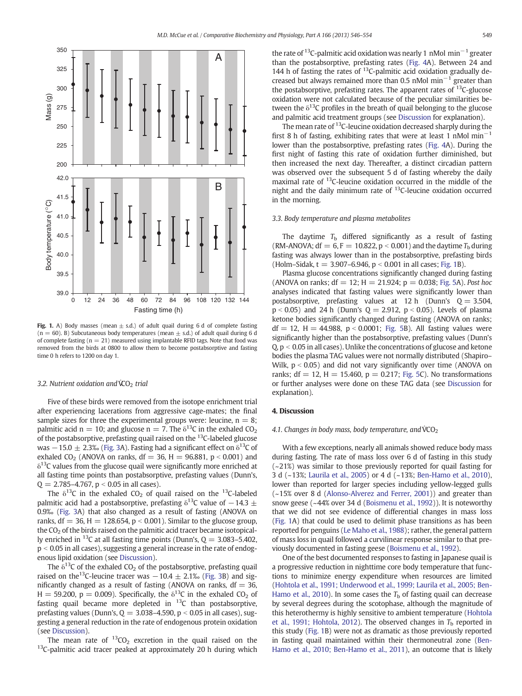<span id="page-3-0"></span>

Fig. 1. A) Body masses (mean  $\pm$  s.d.) of adult quail during 6 d of complete fasting  $(n = 60)$ . B) Subcutaneous body temperatures (mean  $\pm$  s.d.) of adult quail during 6 d of complete fasting ( $n = 21$ ) measured using implantable RFID tags. Note that food was removed from the birds at 0800 to allow them to become postabsorptive and fasting time 0 h refers to 1200 on day 1.

#### 3.2. Nutrient oxidation and  $\text{C}_2$  trial

Five of these birds were removed from the isotope enrichment trial after experiencing lacerations from aggressive cage-mates; the final sample sizes for three the experimental groups were: leucine,  $n = 8$ ; palmitic acid n = 10; and glucose n = 7. The  $\delta^{13}$ C in the exhaled CO<sub>2</sub> of the postabsorptive, prefasting quail raised on the  $^{13}$ C-labeled glucose was  $-15.0 \pm 2.3$ % [\(Fig. 3](#page-5-0)A). Fasting had a significant effect on  $\delta^{13}$ C of exhaled CO<sub>2</sub> (ANOVA on ranks,  $df = 36$ ,  $H = 96.881$ ,  $p < 0.001$ ) and  $\delta^{13}$ C values from the glucose quail were significantly more enriched at all fasting time points than postabsorptive, prefasting values (Dunn's,  $Q = 2.785 - 4.767$ ,  $p < 0.05$  in all cases).

The  $\delta^{13}$ C in the exhaled CO<sub>2</sub> of quail raised on the <sup>13</sup>C-labeled palmitic acid had a postabsorptive, prefasting  $\delta^{13}$ C value of  $-14.3 \pm$ 0.9‰ [\(Fig. 3](#page-5-0)A) that also changed as a result of fasting (ANOVA on ranks, df = 36, H = 128.654,  $p < 0.001$ ). Similar to the glucose group, the  $CO<sub>2</sub>$  of the birds raised on the palmitic acid tracer became isotopically enriched in <sup>13</sup>C at all fasting time points (Dunn's,  $Q = 3.083 - 5.402$ ,  $p < 0.05$  in all cases), suggesting a general increase in the rate of endogenous lipid oxidation (see Discussion).

The  $\delta^{13}$ C of the exhaled CO<sub>2</sub> of the postabsorptive, prefasting quail raised on the<sup>13</sup>C-leucine tracer was  $-10.4 \pm 2.1$ ‰ [\(Fig. 3](#page-5-0)B) and significantly changed as a result of fasting (ANOVA on ranks,  $df = 36$ , H = 59.200, p = 0.009). Specifically, the  $\delta^{13}C$  in the exhaled CO<sub>2</sub> of fasting quail became more depleted in  $^{13}$ C than postabsorptive, prefasting values (Dunn's,  $Q = 3.038 - 4.590$ ,  $p < 0.05$  in all cases), suggesting a general reduction in the rate of endogenous protein oxidation (see Discussion).

The mean rate of  $^{13}CO_2$  excretion in the quail raised on the  $^{13}C$ -palmitic acid tracer peaked at approximately 20 h during which

and palmitic acid treatment groups (see Discussion for explanation). The mean rate of  $13C$ -leucine oxidation decreased sharply during the first 8 h of fasting, exhibiting rates that were at least 1 nMol  $min^{-1}$ lower than the postabsorptive, prefasting rates ([Fig. 4A](#page-6-0)). During the first night of fasting this rate of oxidation further diminished, but then increased the next day. Thereafter, a distinct circadian pattern was observed over the subsequent 5 d of fasting whereby the daily maximal rate of 13C-leucine oxidation occurred in the middle of the night and the daily minimum rate of  $13C$ -leucine oxidation occurred in the morning.

tween the  $\delta^{13}$ C profiles in the breath of quail belonging to the glucose

### 3.3. Body temperature and plasma metabolites

The daytime  $T<sub>b</sub>$  differed significantly as a result of fasting (RM-ANOVA;  $df = 6$ ,  $F = 10.822$ ,  $p < 0.001$ ) and the daytime  $T<sub>b</sub>$  during fasting was always lower than in the postabsorptive, prefasting birds (Holm–Sidak,  $t = 3.907-6.946$ ,  $p < 0.001$  in all cases; Fig. 1B).

Plasma glucose concentrations significantly changed during fasting (ANOVA on ranks;  $df = 12$ ;  $H = 21.924$ ;  $p = 0.038$ ; [Fig. 5A](#page-6-0)). Post hoc analyses indicated that fasting values were significantly lower than postabsorptive, prefasting values at 12 h (Dunn's  $Q = 3.504$ ,  $p < 0.05$ ) and 24 h (Dunn's  $Q = 2.912$ ,  $p < 0.05$ ). Levels of plasma ketone bodies significantly changed during fasting (ANOVA on ranks;  $df = 12$ ,  $H = 44.988$ ,  $p < 0.0001$ ; [Fig. 5B](#page-6-0)). All fasting values were significantly higher than the postabsorptive, prefasting values (Dunn's  $Q$ ,  $p < 0.05$  in all cases). Unlike the concentrations of glucose and ketone bodies the plasma TAG values were not normally distributed (Shapiro– Wilk,  $p < 0.05$ ) and did not vary significantly over time (ANOVA on ranks;  $df = 12$ ,  $H = 15.460$ ,  $p = 0.217$ ; [Fig. 5](#page-6-0)C). No transformations or further analyses were done on these TAG data (see Discussion for explanation).

## 4. Discussion

#### 4.1. Changes in body mass, body temperature, and  $\sqrt{C}O<sub>2</sub>$

With a few exceptions, nearly all animals showed reduce body mass during fasting. The rate of mass loss over 6 d of fasting in this study (~21%) was similar to those previously reported for quail fasting for 3 d (~13%; [Laurila et al., 2005](#page-7-0)) or 4 d (~13%; [Ben-Hamo et al., 2010](#page-7-0)), lower than reported for larger species including yellow-legged gulls (~15% over 8 d [\(Alonso-Alverez and Ferrer, 2001](#page-7-0))) and greater than snow geese (~44% over 34 d ([Boismenu et al., 1992\)](#page-7-0)). It is noteworthy that we did not see evidence of differential changes in mass loss (Fig. 1A) that could be used to delimit phase transitions as has been reported for penguins [\(Le Maho et al., 1988](#page-7-0)); rather, the general pattern of mass loss in quail followed a curvilinear response similar to that previously documented in fasting geese ([Boismenu et al., 1992\)](#page-7-0).

One of the best documented responses to fasting in Japanese quail is a progressive reduction in nighttime core body temperature that functions to minimize energy expenditure when resources are limited [\(Hohtola et al., 1991; Underwood et al., 1999; Laurila et al., 2005; Ben-](#page-7-0)[Hamo et al., 2010](#page-7-0)). In some cases the  $T<sub>b</sub>$  of fasting quail can decrease by several degrees during the scotophase, although the magnitude of this heterothermy is highly sensitive to ambient temperature [\(Hohtola](#page-7-0) [et al., 1991; Hohtola, 2012](#page-7-0)). The observed changes in  $T<sub>b</sub>$  reported in this study (Fig. 1B) were not as dramatic as those previously reported in fasting quail maintained within their thermoneutral zone [\(Ben-](#page-7-0)[Hamo et al., 2010; Ben-Hamo et al., 2011](#page-7-0)), an outcome that is likely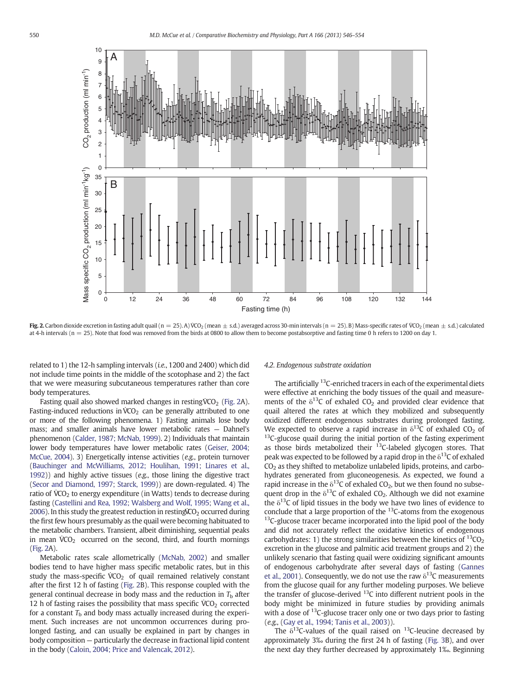<span id="page-4-0"></span>

Fig. 2. Carbon dioxide excretion in fasting adult quail (n = 25). A) VCO<sub>2</sub> (mean  $\pm$  s.d.) averaged across 30-min intervals (n = 25). B) Mass-specific rates of VCO<sub>2</sub> (mean  $\pm$  s.d.) calculated at 4-h intervals ( $n = 25$ ). Note that food was removed from the birds at 0800 to allow them to become postabsorptive and fasting time 0 h refers to 1200 on day 1.

related to 1) the 12-h sampling intervals (i.e., 1200 and 2400) which did not include time points in the middle of the scotophase and 2) the fact that we were measuring subcutaneous temperatures rather than core body temperatures.

Fasting quail also showed marked changes in resting  $VCO<sub>2</sub>$  (Fig. 2A). Fasting-induced reductions in  $\text{VCO}_2$  can be generally attributed to one or more of the following phenomena. 1) Fasting animals lose body mass; and smaller animals have lower metabolic rates — Dahnel's phenomenon [\(Calder, 1987; McNab, 1999](#page-7-0)). 2) Individuals that maintain lower body temperatures have lower metabolic rates [\(Geiser, 2004;](#page-7-0) [McCue, 2004\)](#page-7-0). 3) Energetically intense activities (e.g., protein turnover [\(Bauchinger and McWilliams, 2012; Houlihan, 1991; Linares et al.,](#page-7-0) [1992](#page-7-0))) and highly active tissues (e.g., those lining the digestive tract [\(Secor and Diamond, 1997; Starck, 1999\)](#page-8-0)) are down-regulated. 4) The ratio of  $\text{VCO}_2$  to energy expenditure (in Watts) tends to decrease during fasting ([Castellini and Rea, 1992; Walsberg and Wolf, 1995; Wang et al.,](#page-7-0) [2006](#page-7-0)). In this study the greatest reduction in resting $\rm{CO}_2$  occurred during the first few hours presumably as the quail were becoming habituated to the metabolic chambers. Transient, albeit diminishing, sequential peaks in mean  $\text{VCO}_2$  occurred on the second, third, and fourth mornings (Fig. 2A).

Metabolic rates scale allometrically [\(McNab, 2002](#page-8-0)) and smaller bodies tend to have higher mass specific metabolic rates, but in this study the mass-specific  $\dot{V}CO_2$  of quail remained relatively constant after the first 12 h of fasting (Fig. 2B). This response coupled with the general continual decrease in body mass and the reduction in  $T<sub>b</sub>$  after 12 h of fasting raises the possibility that mass specific  $\text{VCO}_2$  corrected for a constant  $T<sub>b</sub>$  and body mass actually increased during the experiment. Such increases are not uncommon occurrences during prolonged fasting, and can usually be explained in part by changes in body composition — particularly the decrease in fractional lipid content in the body ([Caloin, 2004; Price and Valencak, 2012\)](#page-7-0).

#### 4.2. Endogenous substrate oxidation

The artificially <sup>13</sup>C-enriched tracers in each of the experimental diets were effective at enriching the body tissues of the quail and measurements of the  $\delta^{13}$ C of exhaled CO<sub>2</sub> and provided clear evidence that quail altered the rates at which they mobilized and subsequently oxidized different endogenous substrates during prolonged fasting. We expected to observe a rapid increase in  $\delta^{13}$ C of exhaled CO<sub>2</sub> of  $^{13}$ C-glucose quail during the initial portion of the fasting experiment as those birds metabolized their  $^{13}$ C-labeled glycogen stores. That peak was expected to be followed by a rapid drop in the  $\delta^{13}$ C of exhaled  $CO<sub>2</sub>$  as they shifted to metabolize unlabeled lipids, proteins, and carbohydrates generated from gluconeogenesis. As expected, we found a rapid increase in the  $\delta^{13}$ C of exhaled CO<sub>2</sub>, but we then found no subsequent drop in the  $\delta^{13}$ C of exhaled CO<sub>2</sub>. Although we did not examine the  $\delta^{13}$ C of lipid tissues in the body we have two lines of evidence to conclude that a large proportion of the  $^{13}$ C-atoms from the exogenous <sup>13</sup>C-glucose tracer became incorporated into the lipid pool of the body and did not accurately reflect the oxidative kinetics of endogenous carbohydrates: 1) the strong similarities between the kinetics of  ${}^{13}CO<sub>2</sub>$ excretion in the glucose and palmitic acid treatment groups and 2) the unlikely scenario that fasting quail were oxidizing significant amounts of endogenous carbohydrate after several days of fasting [\(Gannes](#page-7-0) [et al., 2001\)](#page-7-0). Consequently, we do not use the raw  $\delta^{13}$ C measurements from the glucose quail for any further modeling purposes. We believe the transfer of glucose-derived  $^{13}$ C into different nutrient pools in the body might be minimized in future studies by providing animals with a dose of  $^{13}$ C-glucose tracer only one or two days prior to fasting (e.g., [\(Gay et al., 1994; Tanis et al., 2003\)](#page-7-0)).

The  $\delta^{13}$ C-values of the quail raised on  $^{13}$ C-leucine decreased by approximately 3‰ during the first 24 h of fasting ([Fig. 3B](#page-5-0)), and over the next day they further decreased by approximately 1‰. Beginning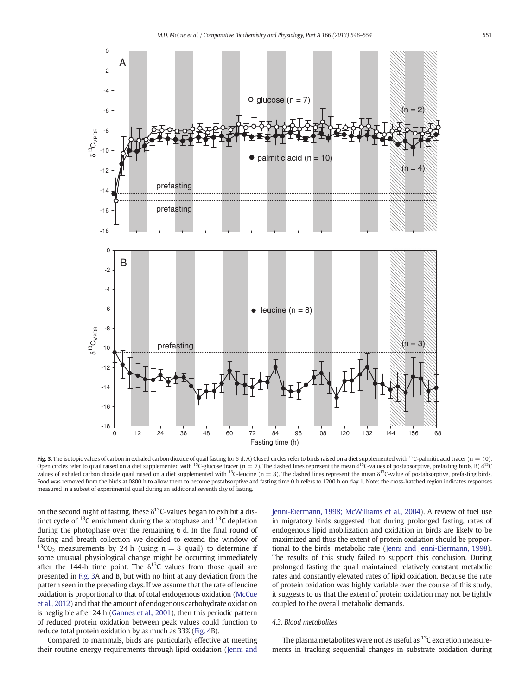<span id="page-5-0"></span>

Fig. 3. The isotopic values of carbon in exhaled carbon dioxide of quail fasting for 6 d. A) Closed circles refer to birds raised on a diet supplemented with <sup>13</sup>C-palmitic acid tracer (n = 10). Open circles refer to quail raised on a diet supplemented with <sup>13</sup>C-glucose tracer (n = 7). The dashed lines represent the mean  $\delta^{13}$ C-values of postabsorptive, prefasting birds. B)  $\delta^{13}$ C values of exhaled carbon dioxide quail raised on a diet supplemented with <sup>13</sup>C-leucine (n = 8). The dashed lines represent the mean  $\delta$ <sup>13</sup>C-value of postabsorptive, prefasting birds. Food was removed from the birds at 0800 h to allow them to become postabsorptive and fasting time 0 h refers to 1200 h on day 1. Note: the cross-hatched region indicates responses measured in a subset of experimental quail during an additional seventh day of fasting.

on the second night of fasting, these  $\delta^{13}$ C-values began to exhibit a distinct cycle of  $^{13}$ C enrichment during the scotophase and  $^{13}$ C depletion during the photophase over the remaining 6 d. In the final round of fasting and breath collection we decided to extend the window of  $13CO<sub>2</sub>$  measurements by 24 h (using n = 8 quail) to determine if some unusual physiological change might be occurring immediately after the 144-h time point. The  $\delta^{13}$ C values from those quail are presented in Fig. 3A and B, but with no hint at any deviation from the pattern seen in the preceding days. If we assume that the rate of leucine oxidation is proportional to that of total endogenous oxidation [\(McCue](#page-8-0) [et al., 2012](#page-8-0)) and that the amount of endogenous carbohydrate oxidation is negligible after 24 h ([Gannes et al., 2001](#page-7-0)), then this periodic pattern of reduced protein oxidation between peak values could function to reduce total protein oxidation by as much as 33% [\(Fig. 4B](#page-6-0)).

Compared to mammals, birds are particularly effective at meeting their routine energy requirements through lipid oxidation [\(Jenni and](#page-7-0) [Jenni-Eiermann, 1998; McWilliams et al., 2004\)](#page-7-0). A review of fuel use in migratory birds suggested that during prolonged fasting, rates of endogenous lipid mobilization and oxidation in birds are likely to be maximized and thus the extent of protein oxidation should be proportional to the birds' metabolic rate ([Jenni and Jenni-Eiermann, 1998](#page-7-0)). The results of this study failed to support this conclusion. During prolonged fasting the quail maintained relatively constant metabolic rates and constantly elevated rates of lipid oxidation. Because the rate of protein oxidation was highly variable over the course of this study, it suggests to us that the extent of protein oxidation may not be tightly coupled to the overall metabolic demands.

# 4.3. Blood metabolites

The plasma metabolites were not as useful as  $^{13}$ C excretion measurements in tracking sequential changes in substrate oxidation during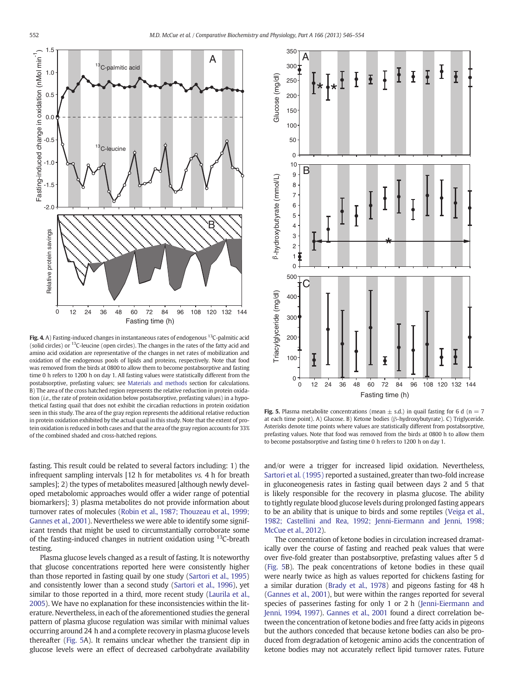<span id="page-6-0"></span>

Fig. 4. A) Fasting-induced changes in instantaneous rates of endogenous  $^{13}$ C-palmitic acid (solid circles) or 13C-leucine (open circles). The changes in the rates of the fatty acid and amino acid oxidation are representative of the changes in net rates of mobilization and oxidation of the endogenous pools of lipids and proteins, respectively. Note that food was removed from the birds at 0800 to allow them to become postabsorptive and fasting time 0 h refers to 1200 h on day 1. All fasting values were statistically different from the postabsorptive, prefasting values; see [Materials and methods](#page-1-0) section for calculations. B) The area of the cross hatched region represents the relative reduction in protein oxidation (i.e., the rate of protein oxidation below postabsorptive, prefasting values) in a hypothetical fasting quail that does not exhibit the circadian reductions in protein oxidation seen in this study. The area of the gray region represents the additional relative reduction in protein oxidation exhibited by the actual quail in this study. Note that the extent of protein oxidation is reduced in both cases and that the area of the gray region accounts for 33% of the combined shaded and cross-hatched regions.

fasting. This result could be related to several factors including: 1) the infrequent sampling intervals [12 h for metabolites vs. 4 h for breath samples]; 2) the types of metabolites measured [although newly developed metabolomic approaches would offer a wider range of potential biomarkers]; 3) plasma metabolites do not provide information about turnover rates of molecules [\(Robin et al., 1987; Thouzeau et al., 1999;](#page-8-0) [Gannes et al., 2001\)](#page-8-0). Nevertheless we were able to identify some significant trends that might be used to circumstantially corroborate some of the fasting-induced changes in nutrient oxidation using  $^{13}$ C-breath testing.

Plasma glucose levels changed as a result of fasting. It is noteworthy that glucose concentrations reported here were consistently higher than those reported in fasting quail by one study ([Sartori et al., 1995](#page-8-0)) and consistently lower than a second study ([Sartori et al., 1996\)](#page-8-0), yet similar to those reported in a third, more recent study ([Laurila et al.,](#page-7-0) [2005\)](#page-7-0). We have no explanation for these inconsistencies within the literature. Nevertheless, in each of the aforementioned studies the general pattern of plasma glucose regulation was similar with minimal values occurring around 24 h and a complete recovery in plasma glucose levels thereafter (Fig. 5A). It remains unclear whether the transient dip in glucose levels were an effect of decreased carbohydrate availability



Fig. 5. Plasma metabolite concentrations (mean  $\pm$  s.d.) in quail fasting for 6 d (n = 7 at each time point). A) Glucose. B) Ketone bodies (β-hydroxybutyrate). C) Triglyceride. Asterisks denote time points where values are statistically different from postabsorptive, prefasting values. Note that food was removed from the birds at 0800 h to allow them to become postabsorptive and fasting time 0 h refers to 1200 h on day 1.

and/or were a trigger for increased lipid oxidation. Nevertheless, [Sartori et al. \(1995\)](#page-8-0) reported a sustained, greater than two-fold increase in gluconeogenesis rates in fasting quail between days 2 and 5 that is likely responsible for the recovery in plasma glucose. The ability to tightly regulate blood glucose levels during prolonged fasting appears to be an ability that is unique to birds and some reptiles [\(Veiga et al.,](#page-8-0) [1982; Castellini and Rea, 1992; Jenni-Eiermann and Jenni, 1998;](#page-8-0) [McCue et al., 2012\)](#page-8-0).

The concentration of ketone bodies in circulation increased dramatically over the course of fasting and reached peak values that were over five-fold greater than postabsorptive, prefasting values after 5 d (Fig. 5B). The peak concentrations of ketone bodies in these quail were nearly twice as high as values reported for chickens fasting for a similar duration ([Brady et al., 1978](#page-7-0)) and pigeons fasting for 48 h [\(Gannes et al., 2001](#page-7-0)), but were within the ranges reported for several species of passerines fasting for only 1 or 2 h [\(Jenni-Eiermann and](#page-7-0) [Jenni, 1994, 1997\)](#page-7-0). [Gannes et al., 2001](#page-7-0) found a direct correlation between the concentration of ketone bodies and free fatty acids in pigeons but the authors conceded that because ketone bodies can also be produced from degradation of ketogenic amino acids the concentration of ketone bodies may not accurately reflect lipid turnover rates. Future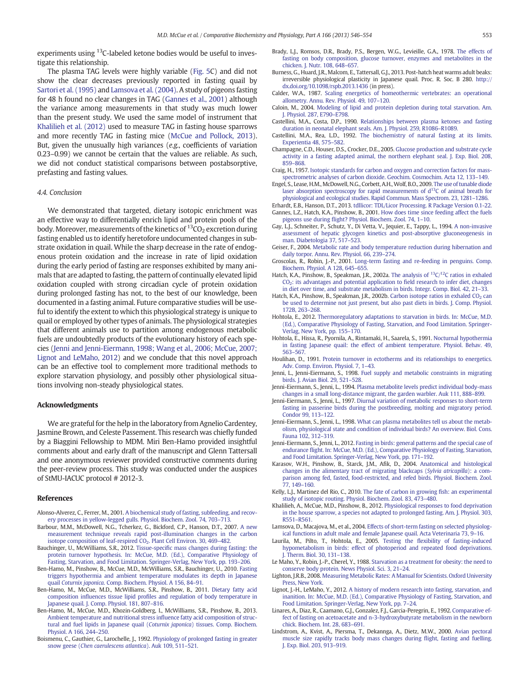<span id="page-7-0"></span>experiments using <sup>13</sup>C-labeled ketone bodies would be useful to investigate this relationship.

The plasma TAG levels were highly variable [\(Fig. 5C](#page-6-0)) and did not show the clear decreases previously reported in fasting quail by [Sartori et al. \(1995\)](#page-8-0) and Lamsova et al. (2004). A study of pigeons fasting for 48 h found no clear changes in TAG (Gannes et al., 2001) although the variance among measurements in that study was much lower than the present study. We used the same model of instrument that Khalilieh et al. (2012) used to measure TAG in fasting house sparrows and more recently TAG in fasting mice [\(McCue and Pollock, 2013](#page-8-0)). But, given the unusually high variances (e.g., coefficients of variation 0.23–0.99) we cannot be certain that the values are reliable. As such, we did not conduct statistical comparisons between postabsorptive, prefasting and fasting values.

# 4.4. Conclusion

We demonstrated that targeted, dietary isotopic enrichment was an effective way to differentially enrich lipid and protein pools of the body. Moreover, measurements of the kinetics of  ${}^{13}CO_2$  excretion during fasting enabled us to identify heretofore undocumented changes in substrate oxidation in quail. While the sharp decrease in the rate of endogenous protein oxidation and the increase in rate of lipid oxidation during the early period of fasting are responses exhibited by many animals that are adapted to fasting, the pattern of continually elevated lipid oxidation coupled with strong circadian cycle of protein oxidation during prolonged fasting has not, to the best of our knowledge, been documented in a fasting animal. Future comparative studies will be useful to identify the extent to which this physiological strategy is unique to quail or employed by other types of animals. The physiological strategies that different animals use to partition among endogenous metabolic fuels are undoubtedly products of the evolutionary history of each species (Jenni and Jenni-Eiermann, 1998; Wang et al., 2006; McCue, 2007; Lignot and LeMaho, 2012) and we conclude that this novel approach can be an effective tool to complement more traditional methods to explore starvation physiology, and possibly other physiological situations involving non-steady physiological states.

#### Acknowledgments

We are grateful for the help in the laboratory from Agnelio Cardentey, Jasmine Brown, and Celeste Passement. This research was chiefly funded by a Biaggini Fellowship to MDM. Miri Ben-Hamo provided insightful comments about and early draft of the manuscript and Glenn Tattersall and one anonymous reviewer provided constructive comments during the peer-review process. This study was conducted under the auspices of StMU-IACUC protocol # 2012-3.

#### References

- Alonso-Alverez, C., Ferrer, M., 2001. [A biochemical study of fasting, subfeeding, and recov](http://refhub.elsevier.com/S1095-6433(13)00223-7/rf0005)[ery processes in yellow-legged gulls. Physiol. Biochem. Zool. 74, 703](http://refhub.elsevier.com/S1095-6433(13)00223-7/rf0005)–713.
- Barbour, M.M., McDowell, N.G., Tcherkez, G., Bickford, C.P., Hanson, D.T., 2007. [A new](http://refhub.elsevier.com/S1095-6433(13)00223-7/rf0010) [measurement technique reveals rapid post-illumination changes in the carbon](http://refhub.elsevier.com/S1095-6433(13)00223-7/rf0010)<br>isotope composition of leaf-respired CO<sub>2</sub>. Plant Cell Environ. 30, 469–482.
- Bauchinger, U., McWilliams, S.R., 2012. Tissue-specifi[c mass changes during fasting: the](http://refhub.elsevier.com/S1095-6433(13)00223-7/rf0015) [protein turnover hypothesis. In: McCue, M.D. \(Ed.\), Comparative Physiology of](http://refhub.elsevier.com/S1095-6433(13)00223-7/rf0015) [Fasting, Starvation, and Food Limitation. Springer-Verlag, New York, pp. 193](http://refhub.elsevier.com/S1095-6433(13)00223-7/rf0015)–206.
- Ben-Hamo, M., Pinshow, B., McCue, M.D., McWilliams, S.R., Bauchinger, U., 2010. [Fasting](http://refhub.elsevier.com/S1095-6433(13)00223-7/rf0030) [triggers hypothermia and ambient temperature modulates its depth in Japanese](http://refhub.elsevier.com/S1095-6433(13)00223-7/rf0030) quail Coturnix japonica[. Comp. Biochem. Physiol. A 156, 84](http://refhub.elsevier.com/S1095-6433(13)00223-7/rf0030)–91.
- Ben-Hamo, M., McCue, M.D., McWilliams, S.R., Pinshow, B., 2011. [Dietary fatty acid](http://refhub.elsevier.com/S1095-6433(13)00223-7/rf0025) composition influences tissue lipid profi[les and regulation of body temperature in](http://refhub.elsevier.com/S1095-6433(13)00223-7/rf0025) [Japanese quail. J. Comp. Physiol. 181, 807](http://refhub.elsevier.com/S1095-6433(13)00223-7/rf0025)–816.
- Ben-Hamo, M., McCue, M.D., Khozin-Goldberg, I., McWilliams, S.R., Pinshow, B., 2013. [Ambient temperature and nutritional stress in](http://refhub.elsevier.com/S1095-6433(13)00223-7/rf0020)fluence fatty acid composition of struc[tural and fuel lipids in Japanese quail \(](http://refhub.elsevier.com/S1095-6433(13)00223-7/rf0020)Coturnix japonica) tissues. Comp. Biochem. [Physiol. A 166, 244](http://refhub.elsevier.com/S1095-6433(13)00223-7/rf0020)–250.
- Boismenu, C., Gauthier, G., Larochelle, J., 1992. [Physiology of prolonged fasting in greater](http://refhub.elsevier.com/S1095-6433(13)00223-7/rf0035) snow geese ([Chen caerulescens atlantica](http://refhub.elsevier.com/S1095-6433(13)00223-7/rf0035)). Auk 109, 511–521.
- Brady, L.J., Romsos, D.R., Brady, P.S., Bergen, W.G., Levieille, G.A., 1978. [The effects of](http://refhub.elsevier.com/S1095-6433(13)00223-7/rf0040) [fasting on body composition, glucose turnover, enzymes and metabolites in the](http://refhub.elsevier.com/S1095-6433(13)00223-7/rf0040) [chicken. J. Nutr. 108, 648](http://refhub.elsevier.com/S1095-6433(13)00223-7/rf0040)–657.
- Burness, G., Huard, J.R., Malcom, E., Tattersall, G.J., 2013. Post-hatch heat warms adult beaks: irreversible physiological plasticity in Japanese quail. Proc. R. Soc. B 280. http:// dx.doi.org[/10.1098/rspb.2013.1436](http://dx.doi.org/10.1098/rspb.2013.1436) (in press).
- Calder, W.A., 1987. [Scaling energetics of homeothermic vertebrates: an operational](http://refhub.elsevier.com/S1095-6433(13)00223-7/rf0045) [allometry. Annu. Rev. Physiol. 49, 107](http://refhub.elsevier.com/S1095-6433(13)00223-7/rf0045)–120.
- Caloin, M., 2004. [Modeling of lipid and protein depletion during total starvation. Am.](http://refhub.elsevier.com/S1095-6433(13)00223-7/rf0050) [J. Physiol. 287, E790](http://refhub.elsevier.com/S1095-6433(13)00223-7/rf0050)–E798.
- Castellini, M.A., Costa, D.P., 1990. [Relationships between plasma ketones and fasting](http://refhub.elsevier.com/S1095-6433(13)00223-7/rf0055) [duration in neonatal elephant seals. Am. J. Physiol. 259, R1086](http://refhub.elsevier.com/S1095-6433(13)00223-7/rf0055)–R1089.
- Castellini, M.A., Rea, L.D., 1992. [The biochemistry of natural fasting at its limits.](http://refhub.elsevier.com/S1095-6433(13)00223-7/rf0060) [Experientia 48, 575](http://refhub.elsevier.com/S1095-6433(13)00223-7/rf0060)–582.
- Champagne, C.D., Houser, D.S., Crocker, D.E., 2005. [Glucose production and substrate cycle](http://refhub.elsevier.com/S1095-6433(13)00223-7/rf0065) [activity in a fasting adapted animal, the northern elephant seal. J. Exp. Biol. 208,](http://refhub.elsevier.com/S1095-6433(13)00223-7/rf0065) [859](http://refhub.elsevier.com/S1095-6433(13)00223-7/rf0065)–868.
- Craig, H., 1957. [Isotopic standards for carbon and oxygen and correction factors for mass](http://refhub.elsevier.com/S1095-6433(13)00223-7/rf0070)[spectrometric analyses of carbon dioxide. Geochim. Cosmochim. Acta 12, 133](http://refhub.elsevier.com/S1095-6433(13)00223-7/rf0070)–149.
- Engel, S., Lease, H.M., McDowell, N.G., Corbett, A.H.,Wolf, B.O., 2009. [The use of tunable diode](http://refhub.elsevier.com/S1095-6433(13)00223-7/rf0075) [laser](http://refhub.elsevier.com/S1095-6433(13)00223-7/rf0075) [absorption](http://refhub.elsevier.com/S1095-6433(13)00223-7/rf0075) [spectroscopy](http://refhub.elsevier.com/S1095-6433(13)00223-7/rf0075) [for](http://refhub.elsevier.com/S1095-6433(13)00223-7/rf0075) [rapid](http://refhub.elsevier.com/S1095-6433(13)00223-7/rf0075) [measurements](http://refhub.elsevier.com/S1095-6433(13)00223-7/rf0075) [of](http://refhub.elsevier.com/S1095-6433(13)00223-7/rf0075)  $d^{13}C$  of animal breath for [physiological and ecological studies. Rapid Commun. Mass Spectrom. 23, 1281](http://refhub.elsevier.com/S1095-6433(13)00223-7/rf0075)–1286.
- Erhardt, E.B., Hanson, D.T., 2013. [tdllicor: TDL/Licor Processing. R Package Version 0.1-22](http://refhub.elsevier.com/S1095-6433(13)00223-7/rf0375). Gannes, L.Z., Hatch, K.A., Pinshow, B., 2001. [How does time since feeding affect the fuels](http://refhub.elsevier.com/S1095-6433(13)00223-7/rf0080) pigeons use during fl[ight? Physiol. Biochem. Zool. 74, 1](http://refhub.elsevier.com/S1095-6433(13)00223-7/rf0080)–10.
- Gay, L.J., Schneiter, P., Schutz, Y., Di Vetta, V., Jequier, E., Tappy, L., 1994. [A non-invasive](http://refhub.elsevier.com/S1095-6433(13)00223-7/rf0085) [assessment of hepatic glycogen kinetics and post-absorptive gluconeogenesis in](http://refhub.elsevier.com/S1095-6433(13)00223-7/rf0085) [man. Diabetologia 37, 517](http://refhub.elsevier.com/S1095-6433(13)00223-7/rf0085)–523.
- Geiser, F., 2004. [Metabolic rate and body temperature reduction during hibernation and](http://refhub.elsevier.com/S1095-6433(13)00223-7/rf0090) [daily torpor. Annu. Rev. Physiol. 66, 239](http://refhub.elsevier.com/S1095-6433(13)00223-7/rf0090)–274.
- Groscolas, R., Robin, J.-P., 2001. [Long-term fasting and re-feeding in penguins. Comp.](http://refhub.elsevier.com/S1095-6433(13)00223-7/rf0095) [Biochem. Physiol. A 128, 645](http://refhub.elsevier.com/S1095-6433(13)00223-7/rf0095)–655.
- Hatch, K.A., Pinshow, B., Speakman, J.R., 2002a. [The](http://refhub.elsevier.com/S1095-6433(13)00223-7/rf0100) [analysis](http://refhub.elsevier.com/S1095-6433(13)00223-7/rf0100) [of](http://refhub.elsevier.com/S1095-6433(13)00223-7/rf0100)  $^{13}C/^{12}C$  ratios in exhaled [CO2: its advantages and potential application to](http://refhub.elsevier.com/S1095-6433(13)00223-7/rf0100) field research to infer diet, changes [in diet over time, and substrate metabolism in birds. Integr. Comp. Biol. 42, 21](http://refhub.elsevier.com/S1095-6433(13)00223-7/rf0100)–33.
- Hatch, K.A., Pinshow, B., Speakman, J.R., 2002b. Carbon isotope ratios in exhaled  $CO<sub>2</sub>$  [can](http://refhub.elsevier.com/S1095-6433(13)00223-7/rf0105) [be used to determine not just present, but also past diets in birds. J. Comp. Physiol.](http://refhub.elsevier.com/S1095-6433(13)00223-7/rf0105) [172B, 263](http://refhub.elsevier.com/S1095-6433(13)00223-7/rf0105)–268.
- Hohtola, E., 2012. [Thermoregulatory adaptations to starvation in birds. In: McCue, M.D.](http://refhub.elsevier.com/S1095-6433(13)00223-7/rf0110) [\(Ed.\), Comparative Physiology of Fasting, Starvation, and Food Limitation. Springer-](http://refhub.elsevier.com/S1095-6433(13)00223-7/rf0110)[Verlag, New York, pp. 155](http://refhub.elsevier.com/S1095-6433(13)00223-7/rf0110)–170.
- Hohtola, E., Hissa, R., Pyornila, A., Rintamaki, H., Saarela, S., 1991. [Nocturnal hypothermia](http://refhub.elsevier.com/S1095-6433(13)00223-7/rf0115) [in fasting Japanese quail: the effect of ambient temperature. Physiol. Behav. 49,](http://refhub.elsevier.com/S1095-6433(13)00223-7/rf0115) [563](http://refhub.elsevier.com/S1095-6433(13)00223-7/rf0115)–567.
- Houlihan, D., 1991. [Protein turnover in ectotherms and its relationships to energetics.](http://refhub.elsevier.com/S1095-6433(13)00223-7/rf0120) [Adv. Comp. Environ. Physiol. 7, 1](http://refhub.elsevier.com/S1095-6433(13)00223-7/rf0120)–43.
- Jenni, L., Jenni-Eiermann, S., 1998. [Fuel supply and metabolic constraints in migrating](http://refhub.elsevier.com/S1095-6433(13)00223-7/rf0145) [birds. J. Avian Biol. 29, 521](http://refhub.elsevier.com/S1095-6433(13)00223-7/rf0145)–528.
- Jenni-Eiermann, S., Jenni, L., 1994. [Plasma metabolite levels predict individual body-mass](http://refhub.elsevier.com/S1095-6433(13)00223-7/rf0125) [changes in a small long-distance migrant, the garden warbler. Auk 111, 888](http://refhub.elsevier.com/S1095-6433(13)00223-7/rf0125)–899.
- Jenni-Eiermann, S., Jenni, L., 1997. [Diurnal variation of metabolic responses to short-term](http://refhub.elsevier.com/S1095-6433(13)00223-7/rf0130) [fasting in passerine birds during the postbreeding, molting and migratory period.](http://refhub.elsevier.com/S1095-6433(13)00223-7/rf0130) [Condor 99, 113](http://refhub.elsevier.com/S1095-6433(13)00223-7/rf0130)–122.
- Jenni-Eiermann, S., Jenni, L., 1998. [What can plasma metabolites tell us about the metab](http://refhub.elsevier.com/S1095-6433(13)00223-7/rf0135)[olism, physiological state and condition of individual birds? An overview. Biol. Cons.](http://refhub.elsevier.com/S1095-6433(13)00223-7/rf0135) [Fauna 102, 312](http://refhub.elsevier.com/S1095-6433(13)00223-7/rf0135)–319.
- Jenni-Eiermann, S., Jenni, L., 2012. [Fasting in birds: general patterns and the special case of](http://refhub.elsevier.com/S1095-6433(13)00223-7/rf0140) endurance fl[ight. In: McCue, M.D. \(Ed.\), Comparative Physiology of Fasting, Starvation,](http://refhub.elsevier.com/S1095-6433(13)00223-7/rf0140) [and Food Limitation. Springer-Verlag, New York, pp. 171](http://refhub.elsevier.com/S1095-6433(13)00223-7/rf0140)–192.
- Karasov, W.H., Pinshow, B., Starck, J.M., Afik, D., 2004. [Anatomical and histological](http://refhub.elsevier.com/S1095-6433(13)00223-7/rf0150) [changes in the alimentary tract of migrating blackcaps \(](http://refhub.elsevier.com/S1095-6433(13)00223-7/rf0150)Sylvia atricapilla): a com[parison among fed, fasted, food-restricted, and refed birds. Physiol. Biochem. Zool.](http://refhub.elsevier.com/S1095-6433(13)00223-7/rf0150) [77, 149](http://refhub.elsevier.com/S1095-6433(13)00223-7/rf0150)–160.
- Kelly, L.J., Martinez del Rio, C., 2010. [The fate of carbon in growing](http://refhub.elsevier.com/S1095-6433(13)00223-7/rf0155) fish: an experimental [study of isotopic routing. Physiol. Biochem. Zool. 83, 473](http://refhub.elsevier.com/S1095-6433(13)00223-7/rf0155)–480.
- Khalilieh, A., McCue, M.D., Pinshow, B., 2012. [Physiological responses to food deprivation](http://refhub.elsevier.com/S1095-6433(13)00223-7/rf0160) [in the house sparrow, a species not adapted to prolonged fasting. Am. J. Physiol. 303,](http://refhub.elsevier.com/S1095-6433(13)00223-7/rf0160) [R551](http://refhub.elsevier.com/S1095-6433(13)00223-7/rf0160)–R561.
- Lamsova, D., Macajova, M., et al., 2004. [Effects of short-term fasting on selected physiolog](http://refhub.elsevier.com/S1095-6433(13)00223-7/rf9005)[ical functions in adult male and female Japanese quail. Acta Veterinaria 73, 9](http://refhub.elsevier.com/S1095-6433(13)00223-7/rf9005)–16.
- Laurila, M., Pilto, T., Hohtola, E., 2005. Testing the fl[exibility of fasting-induced](http://refhub.elsevier.com/S1095-6433(13)00223-7/rf0165) [hypometabolism in birds: effect of photoperiod and repeated food deprivations.](http://refhub.elsevier.com/S1095-6433(13)00223-7/rf0165) [J. Therm. Biol. 30, 131](http://refhub.elsevier.com/S1095-6433(13)00223-7/rf0165)–138.
- Le Maho, Y., Robin, J.-P., Cherel, Y., 1988. [Starvation as a treatment for obesity: the need to](http://refhub.elsevier.com/S1095-6433(13)00223-7/rf0170) [conserve body protein. News Physiol. Sci. 3, 21](http://refhub.elsevier.com/S1095-6433(13)00223-7/rf0170)–24.
- Lighton, J.R.B., 2008. [Measuring Metabolic Rates: A Manual for Scientists. Oxford University](http://refhub.elsevier.com/S1095-6433(13)00223-7/rf0175) [Press, New York.](http://refhub.elsevier.com/S1095-6433(13)00223-7/rf0175)
- Lignot, J.-H., LeMaho, Y., 2012. [A history of modern research into fasting, starvation, and](http://refhub.elsevier.com/S1095-6433(13)00223-7/rf0180) [inanition. In: McCue, M.D. \(Ed.\), Comparative Physiology of Fasting, Starvation, and](http://refhub.elsevier.com/S1095-6433(13)00223-7/rf0180) [Food Limitation. Springer-Verlag, New York, pp. 7](http://refhub.elsevier.com/S1095-6433(13)00223-7/rf0180)–24.
- Linares, A., Diaz, R., Caamano, G.J., Gonzalez, F.J., Garcia-Peregrin, E., 1992. [Comparative ef](http://refhub.elsevier.com/S1095-6433(13)00223-7/rf0185)[fect of fasting on acetoacetate and n-3-hydroxybutyrate metabolism in the newborn](http://refhub.elsevier.com/S1095-6433(13)00223-7/rf0185) [chick. Biochem. Int. 28, 683](http://refhub.elsevier.com/S1095-6433(13)00223-7/rf0185)–691.
- Lindstrom, A., Kvist, A., Piersma, T., Dekannga, A., Dietz, M.W., 2000. [Avian pectoral](http://refhub.elsevier.com/S1095-6433(13)00223-7/rf0190) [muscle size rapidly tracks body mass changes during](http://refhub.elsevier.com/S1095-6433(13)00223-7/rf0190) flight, fasting and fuelling. [J. Exp. Biol. 203, 913](http://refhub.elsevier.com/S1095-6433(13)00223-7/rf0190)–919.